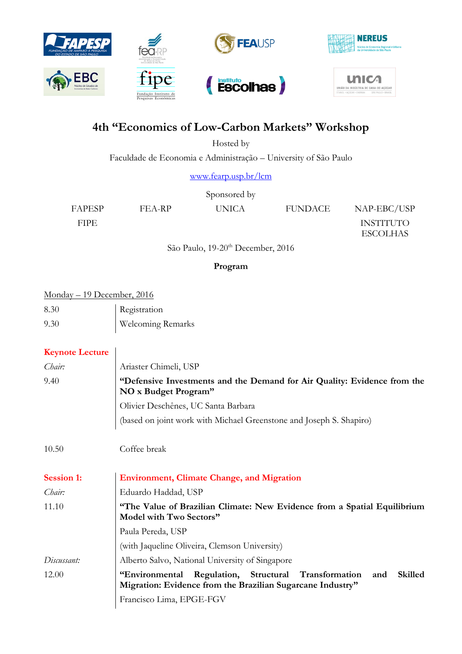

# **4th "Economics of Low-Carbon Markets" Workshop**

Hosted by

Faculdade de Economia e Administração – University of São Paulo

[www.fearp.usp.br/lcm](http://www.fearp.usp.br/lcm)

| Sponsored by  |        |              |                |                  |  |
|---------------|--------|--------------|----------------|------------------|--|
| <b>FAPESP</b> | FEA-RP | <b>UNICA</b> | <b>FUNDACE</b> | NAP-EBC/USP      |  |
| <b>FIPE</b>   |        |              |                | <b>INSTITUTO</b> |  |
|               |        |              |                | <b>ESCOLHAS</b>  |  |

São Paulo, 19-20<sup>th</sup> December, 2016

### **Program**

| <u>Monday – 19 December, 2016</u> |                          |  |
|-----------------------------------|--------------------------|--|
| 8.30                              | Registration             |  |
| 9.30                              | <b>Welcoming Remarks</b> |  |

# **Keynote Lecture**

| Chair:            | Ariaster Chimeli, USP                                                                                                                       |  |  |
|-------------------|---------------------------------------------------------------------------------------------------------------------------------------------|--|--|
| 9.40              | "Defensive Investments and the Demand for Air Quality: Evidence from the<br>NO x Budget Program"                                            |  |  |
|                   | Olivier Deschênes, UC Santa Barbara                                                                                                         |  |  |
|                   | (based on joint work with Michael Greenstone and Joseph S. Shapiro)                                                                         |  |  |
|                   |                                                                                                                                             |  |  |
| 10.50             | Coffee break                                                                                                                                |  |  |
|                   |                                                                                                                                             |  |  |
| <b>Session 1:</b> | <b>Environment, Climate Change, and Migration</b>                                                                                           |  |  |
| Chair:            | Eduardo Haddad, USP                                                                                                                         |  |  |
| 11.10             | "The Value of Brazilian Climate: New Evidence from a Spatial Equilibrium<br>Model with Two Sectors"                                         |  |  |
|                   | Paula Pereda, USP                                                                                                                           |  |  |
|                   | (with Jaqueline Oliveira, Clemson University)                                                                                               |  |  |
| Discussant:       | Alberto Salvo, National University of Singapore                                                                                             |  |  |
| 12.00             | "Environmental Regulation, Structural Transformation<br><b>Skilled</b><br>and<br>Migration: Evidence from the Brazilian Sugarcane Industry" |  |  |
|                   | Francisco Lima, EPGE-FGV                                                                                                                    |  |  |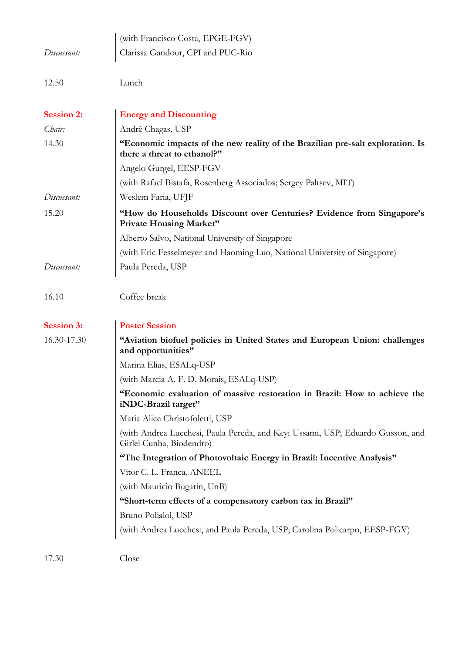|                   | (with Francisco Costa, EPGE-FGV)                                                                              |
|-------------------|---------------------------------------------------------------------------------------------------------------|
| Discussant:       | Clarissa Gandour, CPI and PUC-Rio                                                                             |
|                   |                                                                                                               |
| 12.50             | Lunch                                                                                                         |
|                   |                                                                                                               |
| <b>Session 2:</b> | <b>Energy and Discounting</b>                                                                                 |
| Chair:            | André Chagas, USP                                                                                             |
| 14.30             | "Economic impacts of the new reality of the Brazilian pre-salt exploration. Is<br>there a threat to ethanol?" |
|                   | Angelo Gurgel, EESP-FGV                                                                                       |
|                   | (with Rafael Bistafa, Rosenberg Associados; Sergey Paltsev, MIT)                                              |
| Discussant:       | Weslem Faria, UFJF                                                                                            |
| 15.20             | "How do Households Discount over Centuries? Evidence from Singapore's<br><b>Private Housing Market"</b>       |
|                   | Alberto Salvo, National University of Singapore                                                               |
|                   | (with Eric Fesselmeyer and Haoming Luo, National University of Singapore)                                     |
| Discussant:       | Paula Pereda, USP                                                                                             |
|                   |                                                                                                               |
| 16.10             | Coffee break                                                                                                  |
|                   |                                                                                                               |
| <b>Session 3:</b> | <b>Poster Session</b>                                                                                         |
| 16.30-17.30       | "Aviation biofuel policies in United States and European Union: challenges<br>and opportunities"              |
|                   | Marina Elias, ESALq-USP                                                                                       |
|                   | (with Marcia A. F. D. Morais, ESALq-USP)                                                                      |
|                   | "Economic evaluation of massive restoration in Brazil: How to achieve the<br>iNDC-Brazil target"              |
|                   | Maria Alice Christofoletti, USP                                                                               |
|                   | (with Andrea Lucchesi, Paula Pereda, and Keyi Ussami, USP; Eduardo Gusson, and<br>Girlei Cunha, Biodendro)    |
|                   | "The Integration of Photovoltaic Energy in Brazil: Incentive Analysis"                                        |
|                   | Vitor C. L. Franca, ANEEL                                                                                     |
|                   | (with Mauricio Bugarin, UnB)                                                                                  |
|                   | "Short-term effects of a compensatory carbon tax in Brazil"                                                   |
|                   | Bruno Polialol, USP                                                                                           |
|                   | (with Andrea Lucchesi, and Paula Pereda, USP; Carolina Policarpo, EESP-FGV)                                   |
|                   |                                                                                                               |
| 17.30             | Close                                                                                                         |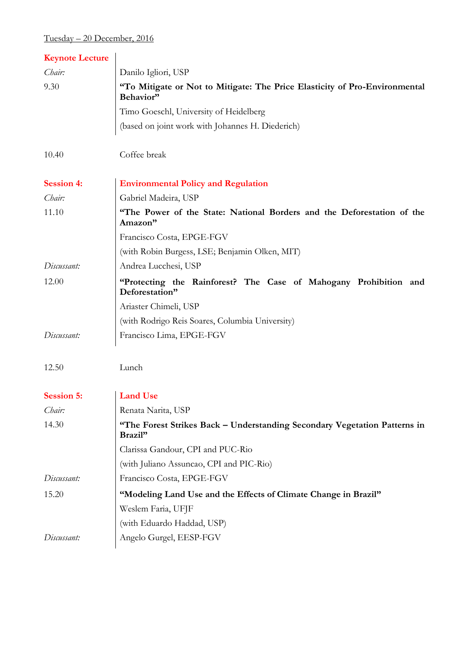# Tuesday – 20 December, 2016

| <b>Keynote Lecture</b> |                                                                                         |  |
|------------------------|-----------------------------------------------------------------------------------------|--|
| Chair:                 | Danilo Igliori, USP                                                                     |  |
| 9.30                   | "To Mitigate or Not to Mitigate: The Price Elasticity of Pro-Environmental<br>Behavior" |  |
|                        | Timo Goeschl, University of Heidelberg                                                  |  |
|                        | (based on joint work with Johannes H. Diederich)                                        |  |
| 10.40                  | Coffee break                                                                            |  |
| <b>Session 4:</b>      | <b>Environmental Policy and Regulation</b>                                              |  |
| Chair:                 | Gabriel Madeira, USP                                                                    |  |
| 11.10                  | "The Power of the State: National Borders and the Deforestation of the<br>Amazon"       |  |
|                        | Francisco Costa, EPGE-FGV                                                               |  |
|                        | (with Robin Burgess, LSE; Benjamin Olken, MIT)                                          |  |
| Discussant:            | Andrea Lucchesi, USP                                                                    |  |
| 12.00                  | "Protecting the Rainforest? The Case of Mahogany Prohibition and<br>Deforestation"      |  |
|                        | Ariaster Chimeli, USP                                                                   |  |
|                        | (with Rodrigo Reis Soares, Columbia University)                                         |  |
| Discussant:            | Francisco Lima, EPGE-FGV                                                                |  |
| 12.50                  | Lunch                                                                                   |  |
| <b>Session 5:</b>      | <b>Land Use</b>                                                                         |  |
| Chair:                 | Renata Narita, USP                                                                      |  |
| 14.30                  | "The Forest Strikes Back - Understanding Secondary Vegetation Patterns in<br>Brazil"    |  |
|                        | Clarissa Gandour, CPI and PUC-Rio                                                       |  |
|                        | (with Juliano Assuncao, CPI and PIC-Rio)                                                |  |
| Discussant:            | Francisco Costa, EPGE-FGV                                                               |  |
| 15.20                  | "Modeling Land Use and the Effects of Climate Change in Brazil"                         |  |
|                        | Weslem Faria, UFJF                                                                      |  |
|                        | (with Eduardo Haddad, USP)                                                              |  |
| Discussant:            | Angelo Gurgel, EESP-FGV                                                                 |  |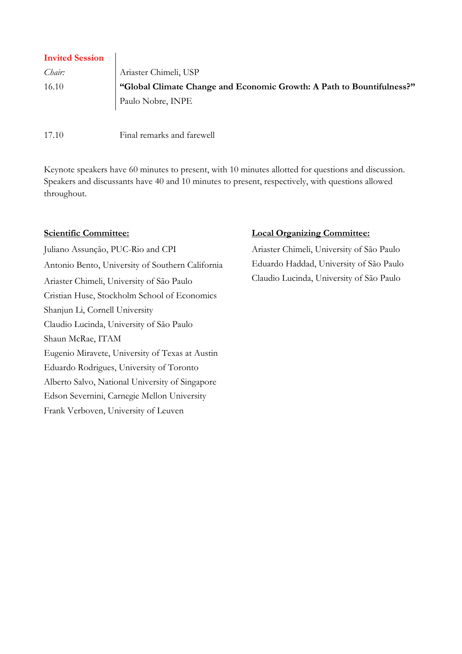| <b>Invited Session</b> |                                                                       |
|------------------------|-----------------------------------------------------------------------|
| Chair:                 | Ariaster Chimeli, USP                                                 |
| 16.10                  | "Global Climate Change and Economic Growth: A Path to Bountifulness?" |
|                        | Paulo Nobre, INPE                                                     |
|                        |                                                                       |

17.10 Final remarks and farewell

Keynote speakers have 60 minutes to present, with 10 minutes allotted for questions and discussion. Speakers and discussants have 40 and 10 minutes to present, respectively, with questions allowed throughout.

Juliano Assunção, PUC-Rio and CPI Antonio Bento, University of Southern California Ariaster Chimeli, University of São Paulo Cristian Huse, Stockholm School of Economics Shanjun Li, Cornell University Claudio Lucinda, University of São Paulo Shaun McRae, ITAM Eugenio Miravete, University of Texas at Austin Eduardo Rodrigues, University of Toronto Alberto Salvo, National University of Singapore Edson Severnini, Carnegie Mellon University Frank Verboven, University of Leuven

# **Scientific Committee: Local Organizing Committee:**

Ariaster Chimeli, University of São Paulo Eduardo Haddad, University of São Paulo Claudio Lucinda, University of São Paulo